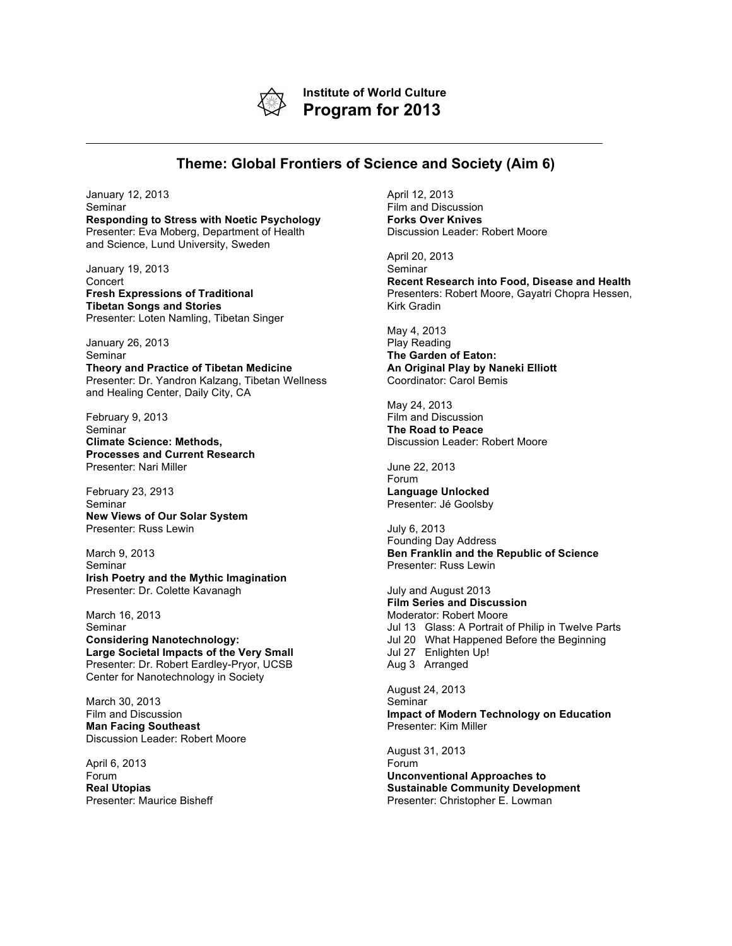

**Institute of World Culture Program for 2013**

## **Theme: Global Frontiers of Science and Society (Aim 6)**

January 12, 2013 Seminar **Responding to Stress with Noetic Psychology** Presenter: Eva Moberg, Department of Health and Science, Lund University, Sweden

January 19, 2013 Concert **Fresh Expressions of Traditional Tibetan Songs and Stories** Presenter: Loten Namling, Tibetan Singer

January 26, 2013 Seminar **Theory and Practice of Tibetan Medicine** Presenter: Dr. Yandron Kalzang, Tibetan Wellness and Healing Center, Daily City, CA

February 9, 2013 Seminar **Climate Science: Methods, Processes and Current Research** Presenter: Nari Miller

February 23, 2913 Seminar **New Views of Our Solar System** Presenter: Russ Lewin

March 9, 2013 Seminar **Irish Poetry and the Mythic Imagination** Presenter: Dr. Colette Kavanagh

March 16, 2013 Seminar **Considering Nanotechnology: Large Societal Impacts of the Very Small** Presenter: Dr. Robert Eardley-Pryor, UCSB Center for Nanotechnology in Society

March 30, 2013 Film and Discussion **Man Facing Southeast** Discussion Leader: Robert Moore

April 6, 2013 Forum **Real Utopias** Presenter: Maurice Bisheff April 12, 2013 Film and Discussion **Forks Over Knives** Discussion Leader: Robert Moore

April 20, 2013 Seminar **Recent Research into Food, Disease and Health** Presenters: Robert Moore, Gayatri Chopra Hessen, Kirk Gradin

May 4, 2013 Play Reading **The Garden of Eaton: An Original Play by Naneki Elliott** Coordinator: Carol Bemis

May 24, 2013 Film and Discussion **The Road to Peace** Discussion Leader: Robert Moore

June 22, 2013 Forum **Language Unlocked** Presenter: Jé Goolsby

July 6, 2013 Founding Day Address **Ben Franklin and the Republic of Science** Presenter: Russ Lewin

July and August 2013 **Film Series and Discussion** Moderator: Robert Moore Jul 13 Glass: A Portrait of Philip in Twelve Parts Jul 20 What Happened Before the Beginning Jul 27 Enlighten Up! Aug 3 Arranged

August 24, 2013 Seminar **Impact of Modern Technology on Education** Presenter: Kim Miller

August 31, 2013 Forum **Unconventional Approaches to Sustainable Community Development** Presenter: Christopher E. Lowman